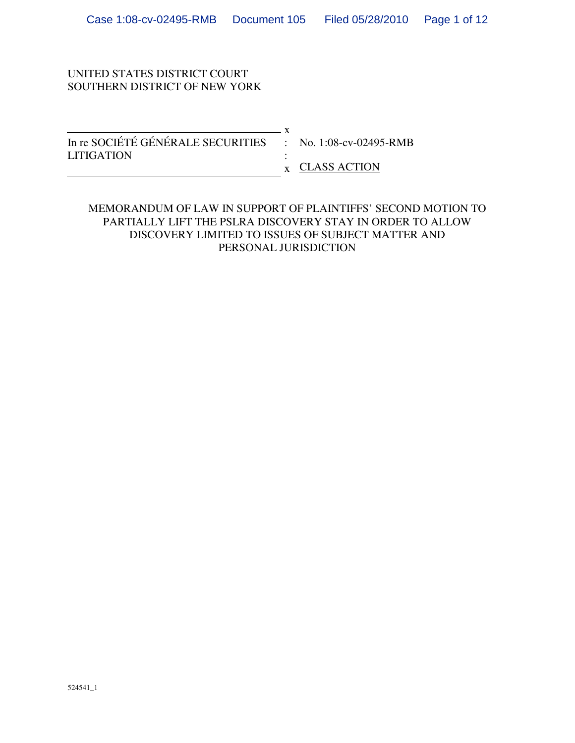# UNITED STATES DISTRICT COURT SOUTHERN DISTRICT OF NEW YORK

| In re SOCIÉTÉ GÉNÉRALE SECURITIES : No. 1:08-cv-02495-RMB |                               |
|-----------------------------------------------------------|-------------------------------|
| <b>LITIGATION</b>                                         |                               |
|                                                           | $\boldsymbol{x}$ CLASS ACTION |

### MEMORANDUM OF LAW IN SUPPORT OF PLAINTIFFS' SECOND MOTION TO PARTIALLY LIFT THE PSLRA DISCOVERY STAY IN ORDER TO ALLOW DISCOVERY LIMITED TO ISSUES OF SUBJECT MATTER AND PERSONAL JURISDICTION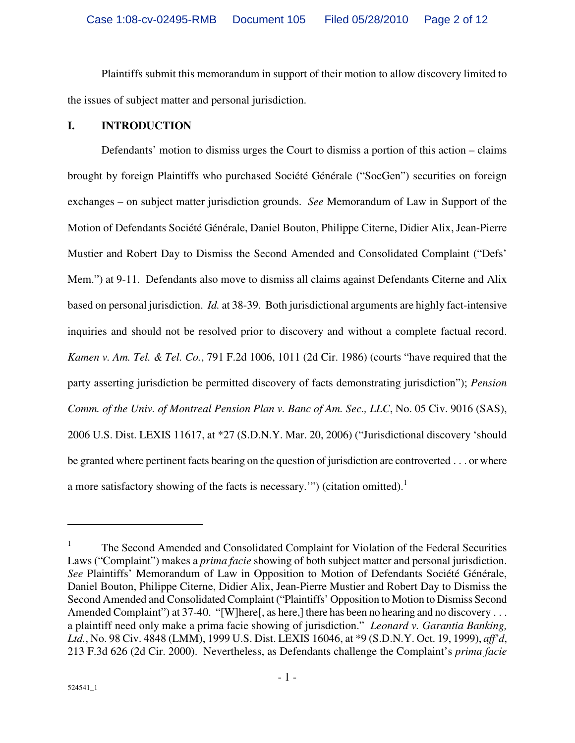Plaintiffs submit this memorandum in support of their motion to allow discovery limited to the issues of subject matter and personal jurisdiction.

#### **I. INTRODUCTION**

Defendants' motion to dismiss urges the Court to dismiss a portion of this action – claims brought by foreign Plaintiffs who purchased Société Générale ("SocGen") securities on foreign exchanges – on subject matter jurisdiction grounds. *See* Memorandum of Law in Support of the Motion of Defendants Société Générale, Daniel Bouton, Philippe Citerne, Didier Alix, Jean-Pierre Mustier and Robert Day to Dismiss the Second Amended and Consolidated Complaint ("Defs' Mem.") at 9-11. Defendants also move to dismiss all claims against Defendants Citerne and Alix based on personal jurisdiction. *Id.* at 38-39. Both jurisdictional arguments are highly fact-intensive inquiries and should not be resolved prior to discovery and without a complete factual record. *Kamen v. Am. Tel. & Tel. Co.*, 791 F.2d 1006, 1011 (2d Cir. 1986) (courts "have required that the party asserting jurisdiction be permitted discovery of facts demonstrating jurisdiction"); *Pension Comm. of the Univ. of Montreal Pension Plan v. Banc of Am. Sec., LLC*, No. 05 Civ. 9016 (SAS), 2006 U.S. Dist. LEXIS 11617, at \*27 (S.D.N.Y. Mar. 20, 2006) ("Jurisdictional discovery 'should be granted where pertinent facts bearing on the question of jurisdiction are controverted . . . or where a more satisfactory showing of the facts is necessary.") (citation omitted).<sup>1</sup>

1

<sup>1</sup> The Second Amended and Consolidated Complaint for Violation of the Federal Securities Laws ("Complaint") makes a *prima facie* showing of both subject matter and personal jurisdiction. *See* Plaintiffs' Memorandum of Law in Opposition to Motion of Defendants Société Générale, Daniel Bouton, Philippe Citerne, Didier Alix, Jean-Pierre Mustier and Robert Day to Dismiss the Second Amended and Consolidated Complaint ("Plaintiffs' Opposition to Motion to Dismiss Second Amended Complaint") at 37-40. "[W]here[, as here,] there has been no hearing and no discovery . . . a plaintiff need only make a prima facie showing of jurisdiction." *Leonard v. Garantia Banking, Ltd.*, No. 98 Civ. 4848 (LMM), 1999 U.S. Dist. LEXIS 16046, at \*9 (S.D.N.Y. Oct. 19, 1999), *aff'd*, 213 F.3d 626 (2d Cir. 2000). Nevertheless, as Defendants challenge the Complaint's *prima facie*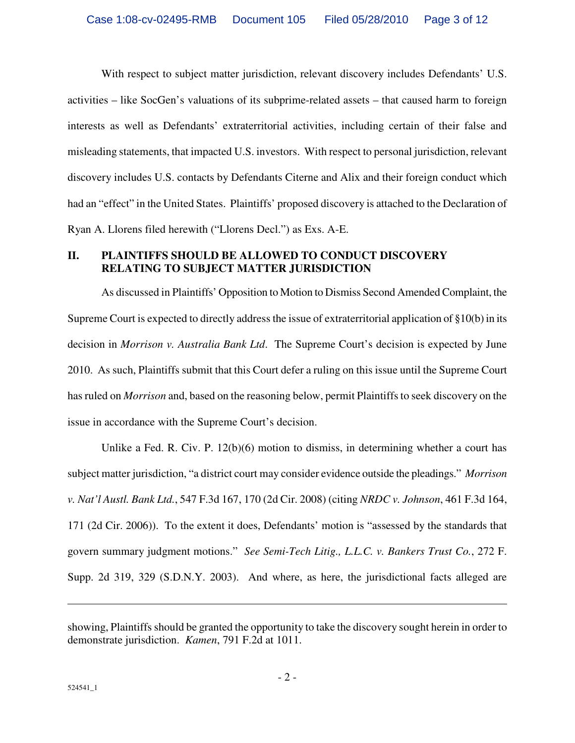With respect to subject matter jurisdiction, relevant discovery includes Defendants' U.S. activities – like SocGen's valuations of its subprime-related assets – that caused harm to foreign interests as well as Defendants' extraterritorial activities, including certain of their false and misleading statements, that impacted U.S. investors. With respect to personal jurisdiction, relevant discovery includes U.S. contacts by Defendants Citerne and Alix and their foreign conduct which had an "effect" in the United States. Plaintiffs' proposed discovery is attached to the Declaration of Ryan A. Llorens filed herewith ("Llorens Decl.") as Exs. A-E.

# **II. PLAINTIFFS SHOULD BE ALLOWED TO CONDUCT DISCOVERY RELATING TO SUBJECT MATTER JURISDICTION**

As discussed in Plaintiffs' Opposition to Motion to Dismiss Second Amended Complaint, the Supreme Court is expected to directly address the issue of extraterritorial application of §10(b) in its decision in *Morrison v. Australia Bank Ltd*. The Supreme Court's decision is expected by June 2010. As such, Plaintiffs submit that this Court defer a ruling on this issue until the Supreme Court has ruled on *Morrison* and, based on the reasoning below, permit Plaintiffs to seek discovery on the issue in accordance with the Supreme Court's decision.

Unlike a Fed. R. Civ. P. 12(b)(6) motion to dismiss, in determining whether a court has subject matter jurisdiction, "a district court may consider evidence outside the pleadings." *Morrison v. Nat'l Austl. Bank Ltd.*, 547 F.3d 167, 170 (2d Cir. 2008) (citing *NRDC v. Johnson*, 461 F.3d 164, 171 (2d Cir. 2006)). To the extent it does, Defendants' motion is "assessed by the standards that govern summary judgment motions." *See Semi-Tech Litig., L.L.C. v. Bankers Trust Co.*, 272 F. Supp. 2d 319, 329 (S.D.N.Y. 2003). And where, as here, the jurisdictional facts alleged are

1

showing, Plaintiffs should be granted the opportunity to take the discovery sought herein in order to demonstrate jurisdiction. *Kamen*, 791 F.2d at 1011.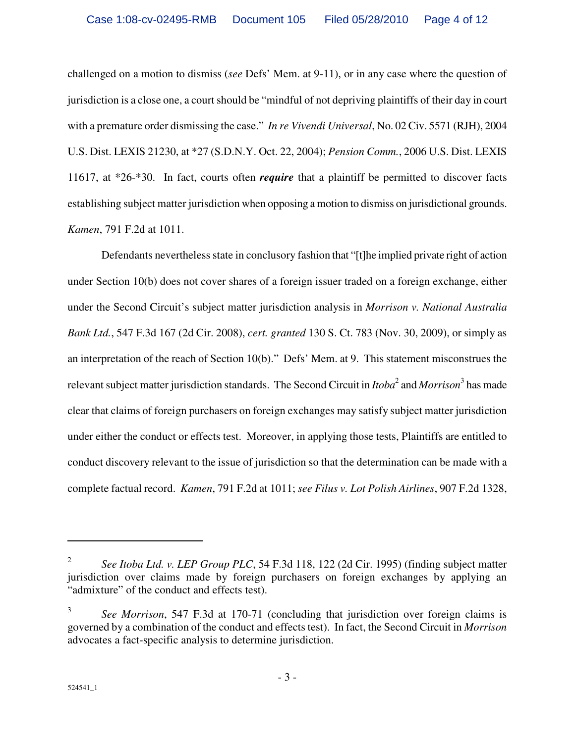challenged on a motion to dismiss (*see* Defs' Mem. at 9-11), or in any case where the question of jurisdiction is a close one, a court should be "mindful of not depriving plaintiffs of their day in court with a premature order dismissing the case." *In re Vivendi Universal*, No. 02 Civ. 5571 (RJH), 2004 U.S. Dist. LEXIS 21230, at \*27 (S.D.N.Y. Oct. 22, 2004); *Pension Comm.*, 2006 U.S. Dist. LEXIS 11617, at \*26-\*30. In fact, courts often *require* that a plaintiff be permitted to discover facts establishing subject matter jurisdiction when opposing a motion to dismiss on jurisdictional grounds. *Kamen*, 791 F.2d at 1011.

Defendants nevertheless state in conclusory fashion that "[t]he implied private right of action under Section 10(b) does not cover shares of a foreign issuer traded on a foreign exchange, either under the Second Circuit's subject matter jurisdiction analysis in *Morrison v. National Australia Bank Ltd.*, 547 F.3d 167 (2d Cir. 2008), *cert. granted* 130 S. Ct. 783 (Nov. 30, 2009), or simply as an interpretation of the reach of Section 10(b)." Defs' Mem. at 9. This statement misconstrues the relevant subject matter jurisdiction standards. The Second Circuit in *Itoba*<sup>2</sup> and *Morrison*<sup>3</sup> has made clear that claims of foreign purchasers on foreign exchanges may satisfy subject matter jurisdiction under either the conduct or effects test. Moreover, in applying those tests, Plaintiffs are entitled to conduct discovery relevant to the issue of jurisdiction so that the determination can be made with a complete factual record. *Kamen*, 791 F.2d at 1011; *see Filus v. Lot Polish Airlines*, 907 F.2d 1328,

<u>.</u>

<sup>2</sup>  *See Itoba Ltd. v. LEP Group PLC*, 54 F.3d 118, 122 (2d Cir. 1995) (finding subject matter jurisdiction over claims made by foreign purchasers on foreign exchanges by applying an "admixture" of the conduct and effects test).

<sup>3</sup>  *See Morrison*, 547 F.3d at 170-71 (concluding that jurisdiction over foreign claims is governed by a combination of the conduct and effects test). In fact, the Second Circuit in *Morrison*  advocates a fact-specific analysis to determine jurisdiction.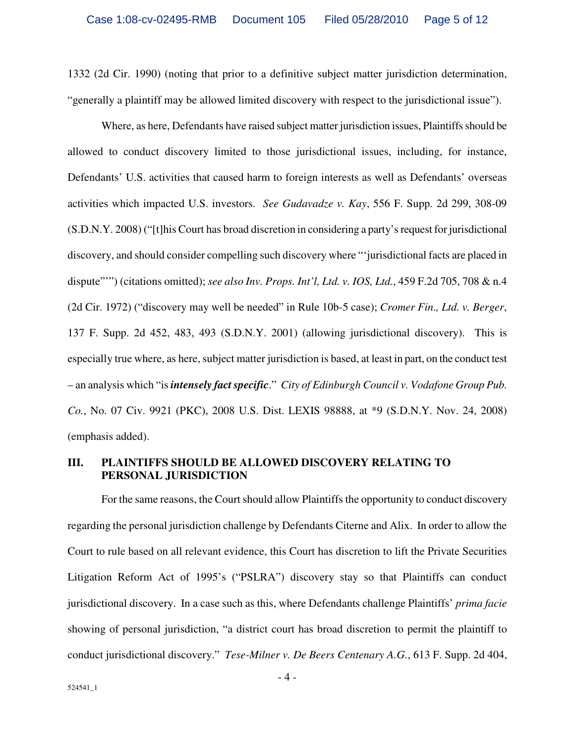1332 (2d Cir. 1990) (noting that prior to a definitive subject matter jurisdiction determination, "generally a plaintiff may be allowed limited discovery with respect to the jurisdictional issue").

Where, as here, Defendants have raised subject matter jurisdiction issues, Plaintiffs should be allowed to conduct discovery limited to those jurisdictional issues, including, for instance, Defendants' U.S. activities that caused harm to foreign interests as well as Defendants' overseas activities which impacted U.S. investors. *See Gudavadze v. Kay*, 556 F. Supp. 2d 299, 308-09 (S.D.N.Y. 2008) ("[t]his Court has broad discretion in considering a party's request for jurisdictional discovery, and should consider compelling such discovery where "'jurisdictional facts are placed in dispute"") (citations omitted); *see also Inv. Props. Int'l, Ltd. v. IOS, Ltd.*, 459 F.2d 705, 708 & n.4 (2d Cir. 1972) ("discovery may well be needed" in Rule 10b-5 case); *Cromer Fin., Ltd. v. Berger*, 137 F. Supp. 2d 452, 483, 493 (S.D.N.Y. 2001) (allowing jurisdictional discovery). This is especially true where, as here, subject matter jurisdiction is based, at least in part, on the conduct test – an analysis which "is *intensely fact specific*." *City of Edinburgh Council v. Vodafone Group Pub. Co.*, No. 07 Civ. 9921 (PKC), 2008 U.S. Dist. LEXIS 98888, at \*9 (S.D.N.Y. Nov. 24, 2008) (emphasis added).

#### **III. PLAINTIFFS SHOULD BE ALLOWED DISCOVERY RELATING TO PERSONAL JURISDICTION**

For the same reasons, the Court should allow Plaintiffs the opportunity to conduct discovery regarding the personal jurisdiction challenge by Defendants Citerne and Alix. In order to allow the Court to rule based on all relevant evidence, this Court has discretion to lift the Private Securities Litigation Reform Act of 1995's ("PSLRA") discovery stay so that Plaintiffs can conduct jurisdictional discovery. In a case such as this, where Defendants challenge Plaintiffs' *prima facie*  showing of personal jurisdiction, "a district court has broad discretion to permit the plaintiff to conduct jurisdictional discovery." *Tese-Milner v. De Beers Centenary A.G.*, 613 F. Supp. 2d 404,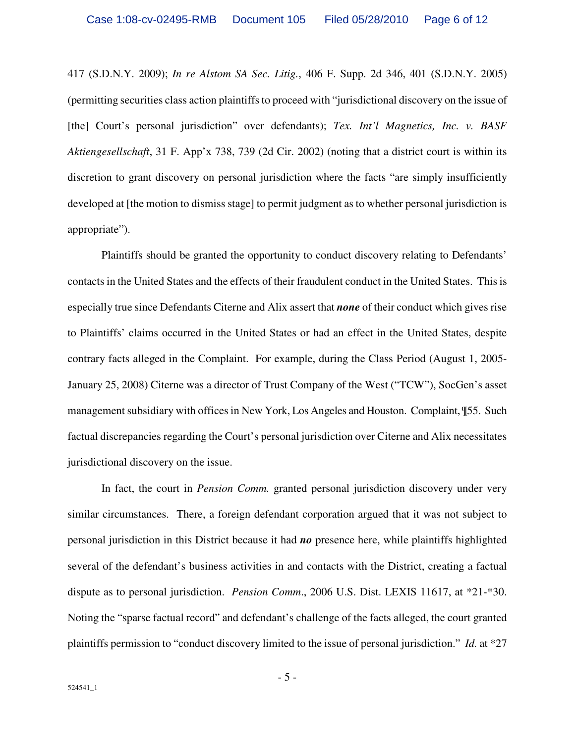417 (S.D.N.Y. 2009); *In re Alstom SA Sec. Litig.*, 406 F. Supp. 2d 346, 401 (S.D.N.Y. 2005) (permitting securities class action plaintiffs to proceed with "jurisdictional discovery on the issue of [the] Court's personal jurisdiction" over defendants); *Tex. Int'l Magnetics, Inc. v. BASF Aktiengesellschaft*, 31 F. App'x 738, 739 (2d Cir. 2002) (noting that a district court is within its discretion to grant discovery on personal jurisdiction where the facts "are simply insufficiently developed at [the motion to dismiss stage] to permit judgment as to whether personal jurisdiction is appropriate").

Plaintiffs should be granted the opportunity to conduct discovery relating to Defendants' contacts in the United States and the effects of their fraudulent conduct in the United States. This is especially true since Defendants Citerne and Alix assert that *none* of their conduct which gives rise to Plaintiffs' claims occurred in the United States or had an effect in the United States, despite contrary facts alleged in the Complaint. For example, during the Class Period (August 1, 2005- January 25, 2008) Citerne was a director of Trust Company of the West ("TCW"), SocGen's asset management subsidiary with offices in New York, Los Angeles and Houston. Complaint, ¶55. Such factual discrepancies regarding the Court's personal jurisdiction over Citerne and Alix necessitates jurisdictional discovery on the issue.

In fact, the court in *Pension Comm.* granted personal jurisdiction discovery under very similar circumstances. There, a foreign defendant corporation argued that it was not subject to personal jurisdiction in this District because it had *no* presence here, while plaintiffs highlighted several of the defendant's business activities in and contacts with the District, creating a factual dispute as to personal jurisdiction. *Pension Comm*., 2006 U.S. Dist. LEXIS 11617, at \*21-\*30. Noting the "sparse factual record" and defendant's challenge of the facts alleged, the court granted plaintiffs permission to "conduct discovery limited to the issue of personal jurisdiction." *Id.* at \*27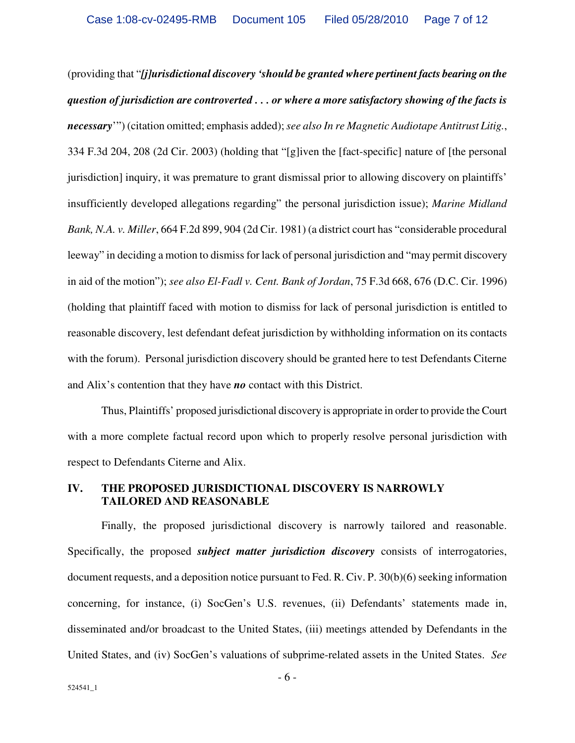(providing that "*[j]urisdictional discovery 'should be granted where pertinent facts bearing on the question of jurisdiction are controverted . . . or where a more satisfactory showing of the facts is necessary*'") (citation omitted; emphasis added); *see also In re Magnetic Audiotape Antitrust Litig.*, 334 F.3d 204, 208 (2d Cir. 2003) (holding that "[g]iven the [fact-specific] nature of [the personal jurisdiction] inquiry, it was premature to grant dismissal prior to allowing discovery on plaintiffs' insufficiently developed allegations regarding" the personal jurisdiction issue); *Marine Midland Bank, N.A. v. Miller*, 664 F.2d 899, 904 (2d Cir. 1981) (a district court has "considerable procedural leeway" in deciding a motion to dismiss for lack of personal jurisdiction and "may permit discovery in aid of the motion"); *see also El-Fadl v. Cent. Bank of Jordan*, 75 F.3d 668, 676 (D.C. Cir. 1996) (holding that plaintiff faced with motion to dismiss for lack of personal jurisdiction is entitled to reasonable discovery, lest defendant defeat jurisdiction by withholding information on its contacts with the forum). Personal jurisdiction discovery should be granted here to test Defendants Citerne and Alix's contention that they have *no* contact with this District.

Thus, Plaintiffs' proposed jurisdictional discovery is appropriate in order to provide the Court with a more complete factual record upon which to properly resolve personal jurisdiction with respect to Defendants Citerne and Alix.

#### **IV. THE PROPOSED JURISDICTIONAL DISCOVERY IS NARROWLY TAILORED AND REASONABLE**

Finally, the proposed jurisdictional discovery is narrowly tailored and reasonable. Specifically, the proposed *subject matter jurisdiction discovery* consists of interrogatories, document requests, and a deposition notice pursuant to Fed. R. Civ. P. 30(b)(6) seeking information concerning, for instance, (i) SocGen's U.S. revenues, (ii) Defendants' statements made in, disseminated and/or broadcast to the United States, (iii) meetings attended by Defendants in the United States, and (iv) SocGen's valuations of subprime-related assets in the United States. *See*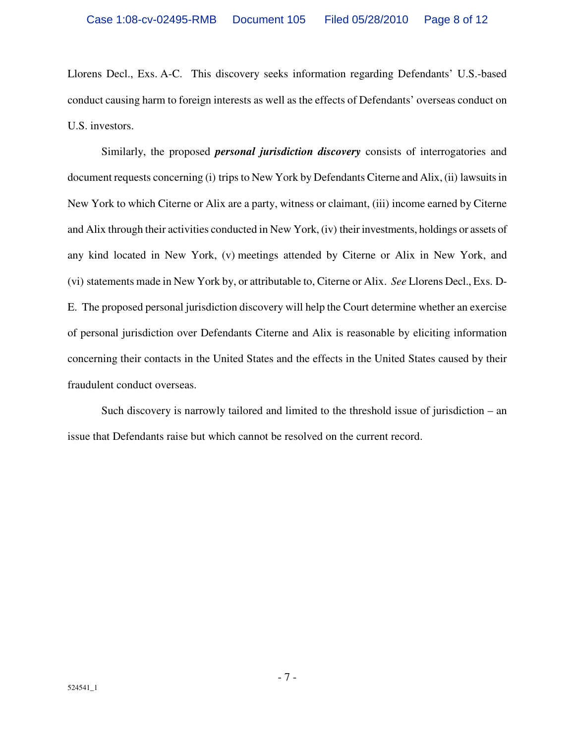Llorens Decl., Exs. A-C. This discovery seeks information regarding Defendants' U.S.-based conduct causing harm to foreign interests as well as the effects of Defendants' overseas conduct on U.S. investors.

Similarly, the proposed *personal jurisdiction discovery* consists of interrogatories and document requests concerning (i) trips to New York by Defendants Citerne and Alix, (ii) lawsuits in New York to which Citerne or Alix are a party, witness or claimant, (iii) income earned by Citerne and Alix through their activities conducted in New York, (iv) their investments, holdings or assets of any kind located in New York, (v) meetings attended by Citerne or Alix in New York, and (vi) statements made in New York by, or attributable to, Citerne or Alix. *See* Llorens Decl., Exs. D-E. The proposed personal jurisdiction discovery will help the Court determine whether an exercise of personal jurisdiction over Defendants Citerne and Alix is reasonable by eliciting information concerning their contacts in the United States and the effects in the United States caused by their fraudulent conduct overseas.

Such discovery is narrowly tailored and limited to the threshold issue of jurisdiction – an issue that Defendants raise but which cannot be resolved on the current record.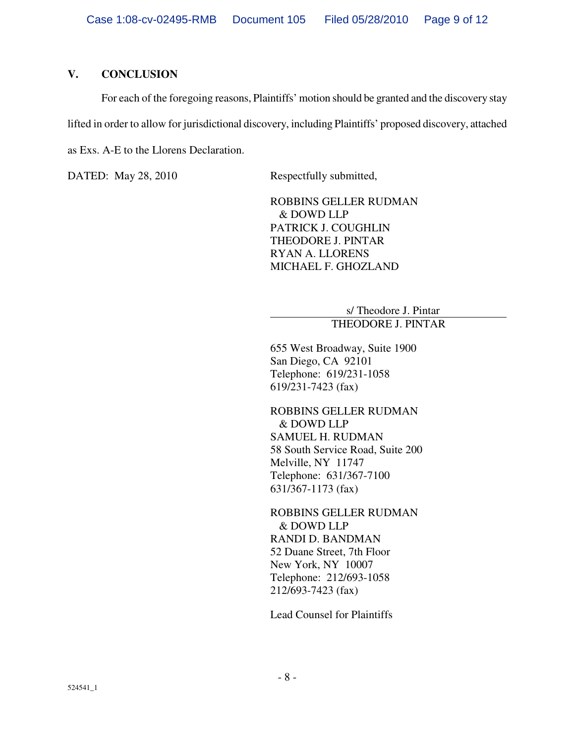# **V. CONCLUSION**

For each of the foregoing reasons, Plaintiffs' motion should be granted and the discovery stay lifted in order to allow for jurisdictional discovery, including Plaintiffs' proposed discovery, attached as Exs. A-E to the Llorens Declaration.

DATED: May 28, 2010 Respectfully submitted,

ROBBINS GELLER RUDMAN & DOWD LLP PATRICK J. COUGHLIN THEODORE J. PINTAR RYAN A. LLORENS MICHAEL F. GHOZLAND

> s/ Theodore J. Pintar THEODORE J. PINTAR

655 West Broadway, Suite 1900 San Diego, CA 92101 Telephone: 619/231-1058 619/231-7423 (fax)

ROBBINS GELLER RUDMAN & DOWD LLP SAMUEL H. RUDMAN 58 South Service Road, Suite 200 Melville, NY 11747 Telephone: 631/367-7100 631/367-1173 (fax)

ROBBINS GELLER RUDMAN & DOWD LLP RANDI D. BANDMAN 52 Duane Street, 7th Floor New York, NY 10007 Telephone: 212/693-1058 212/693-7423 (fax)

Lead Counsel for Plaintiffs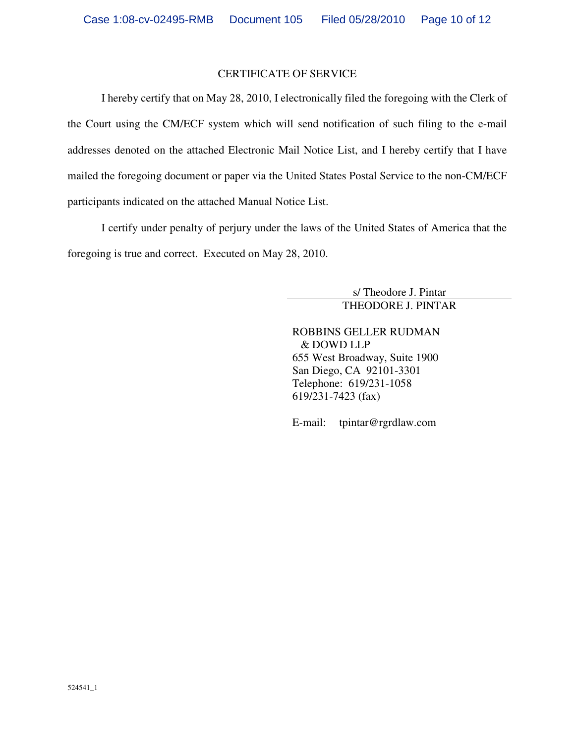#### CERTIFICATE OF SERVICE

I hereby certify that on May 28, 2010, I electronically filed the foregoing with the Clerk of the Court using the CM/ECF system which will send notification of such filing to the e-mail addresses denoted on the attached Electronic Mail Notice List, and I hereby certify that I have mailed the foregoing document or paper via the United States Postal Service to the non-CM/ECF participants indicated on the attached Manual Notice List.

I certify under penalty of perjury under the laws of the United States of America that the foregoing is true and correct. Executed on May 28, 2010.

> s/ Theodore J. Pintar THEODORE J. PINTAR

ROBBINS GELLER RUDMAN & DOWD LLP 655 West Broadway, Suite 1900 San Diego, CA 92101-3301 Telephone: 619/231-1058 619/231-7423 (fax)

E-mail: tpintar@rgrdlaw.com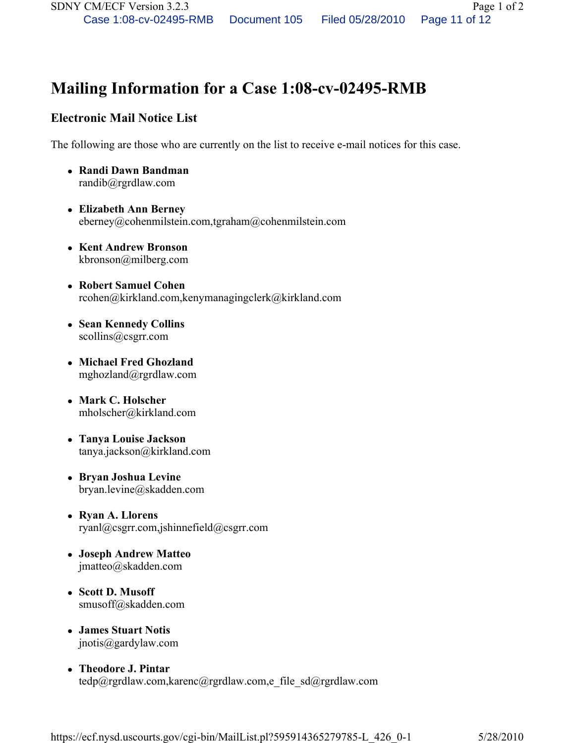# Mailing Information for a Case 1:08-cv-02495-RMB

# Electronic Mail Notice List

The following are those who are currently on the list to receive e-mail notices for this case.

- Randi Dawn Bandman randib@rgrdlaw.com
- Elizabeth Ann Berney eberney@cohenmilstein.com,tgraham@cohenmilstein.com
- Kent Andrew Bronson kbronson@milberg.com
- Robert Samuel Cohen rcohen@kirkland.com,kenymanagingclerk@kirkland.com
- Sean Kennedy Collins scollins@csgrr.com
- Michael Fred Ghozland mghozland@rgrdlaw.com
- Mark C. Holscher mholscher@kirkland.com
- Tanya Louise Jackson tanya.jackson@kirkland.com
- Bryan Joshua Levine bryan.levine@skadden.com
- Ryan A. Llorens ryanl@csgrr.com,jshinnefield@csgrr.com
- Joseph Andrew Matteo jmatteo@skadden.com
- Scott D. Musoff smusoff@skadden.com
- James Stuart Notis jnotis@gardylaw.com
- Theodore J. Pintar tedp@rgrdlaw.com,karenc@rgrdlaw.com,e\_file\_sd@rgrdlaw.com